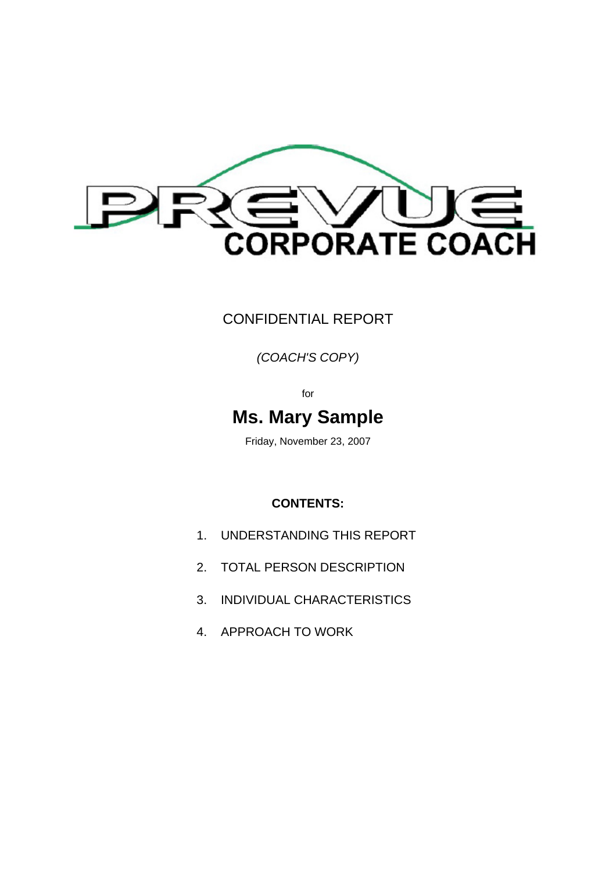

### CONFIDENTIAL REPORT

#### *(COACH'S COPY)*

for

### **Ms. Mary Sample**

Friday, November 23, 2007

#### **CONTENTS:**

- 1. UNDERSTANDING THIS REPORT
- 2. TOTAL PERSON DESCRIPTION
- 3. INDIVIDUAL CHARACTERISTICS
- 4. APPROACH TO WORK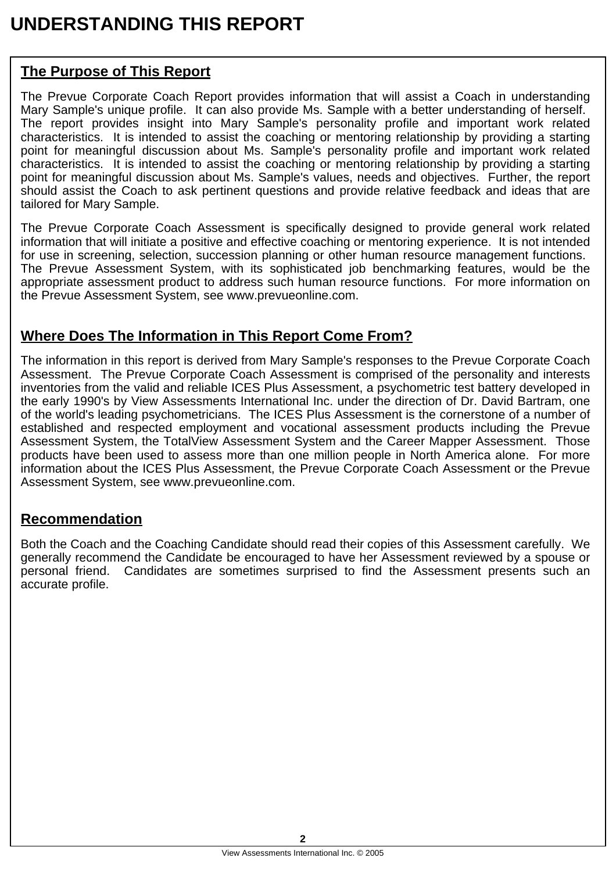# **UNDERSTANDING THIS REPORT**

### **The Purpose of This Report**

The Prevue Corporate Coach Report provides information that will assist a Coach in understanding Mary Sample's unique profile. It can also provide Ms. Sample with a better understanding of herself. The report provides insight into Mary Sample's personality profile and important work related characteristics. It is intended to assist the coaching or mentoring relationship by providing a starting point for meaningful discussion about Ms. Sample's personality profile and important work related characteristics. It is intended to assist the coaching or mentoring relationship by providing a starting point for meaningful discussion about Ms. Sample's values, needs and objectives. Further, the report should assist the Coach to ask pertinent questions and provide relative feedback and ideas that are tailored for Mary Sample.

The Prevue Corporate Coach Assessment is specifically designed to provide general work related information that will initiate a positive and effective coaching or mentoring experience. It is not intended for use in screening, selection, succession planning or other human resource management functions. The Prevue Assessment System, with its sophisticated job benchmarking features, would be the appropriate assessment product to address such human resource functions. For more information on the Prevue Assessment System, see www.prevueonline.com.

#### **Where Does The Information in This Report Come From?**

The information in this report is derived from Mary Sample's responses to the Prevue Corporate Coach Assessment. The Prevue Corporate Coach Assessment is comprised of the personality and interests inventories from the valid and reliable ICES Plus Assessment, a psychometric test battery developed in the early 1990's by View Assessments International Inc. under the direction of Dr. David Bartram, one of the world's leading psychometricians. The ICES Plus Assessment is the cornerstone of a number of established and respected employment and vocational assessment products including the Prevue Assessment System, the TotalView Assessment System and the Career Mapper Assessment. Those products have been used to assess more than one million people in North America alone. For more information about the ICES Plus Assessment, the Prevue Corporate Coach Assessment or the Prevue Assessment System, see www.prevueonline.com.

#### **Recommendation**

Both the Coach and the Coaching Candidate should read their copies of this Assessment carefully. We generally recommend the Candidate be encouraged to have her Assessment reviewed by a spouse or personal friend. Candidates are sometimes surprised to find the Assessment presents such an accurate profile.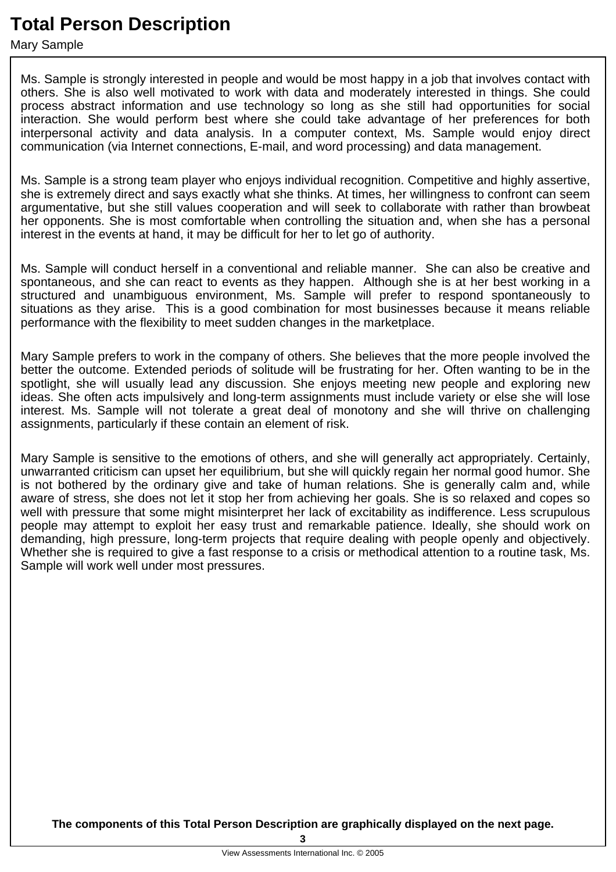## **Total Person Description**

Mary Sample

Ms. Sample is strongly interested in people and would be most happy in a job that involves contact with others. She is also well motivated to work with data and moderately interested in things. She could process abstract information and use technology so long as she still had opportunities for social interaction. She would perform best where she could take advantage of her preferences for both interpersonal activity and data analysis. In a computer context, Ms. Sample would enjoy direct communication (via Internet connections, E-mail, and word processing) and data management.

Ms. Sample is a strong team player who enjoys individual recognition. Competitive and highly assertive, she is extremely direct and says exactly what she thinks. At times, her willingness to confront can seem argumentative, but she still values cooperation and will seek to collaborate with rather than browbeat her opponents. She is most comfortable when controlling the situation and, when she has a personal interest in the events at hand, it may be difficult for her to let go of authority.

Ms. Sample will conduct herself in a conventional and reliable manner. She can also be creative and spontaneous, and she can react to events as they happen. Although she is at her best working in a structured and unambiguous environment, Ms. Sample will prefer to respond spontaneously to situations as they arise. This is a good combination for most businesses because it means reliable performance with the flexibility to meet sudden changes in the marketplace.

Mary Sample prefers to work in the company of others. She believes that the more people involved the better the outcome. Extended periods of solitude will be frustrating for her. Often wanting to be in the spotlight, she will usually lead any discussion. She enjoys meeting new people and exploring new ideas. She often acts impulsively and long-term assignments must include variety or else she will lose interest. Ms. Sample will not tolerate a great deal of monotony and she will thrive on challenging assignments, particularly if these contain an element of risk.

Mary Sample is sensitive to the emotions of others, and she will generally act appropriately. Certainly, unwarranted criticism can upset her equilibrium, but she will quickly regain her normal good humor. She is not bothered by the ordinary give and take of human relations. She is generally calm and, while aware of stress, she does not let it stop her from achieving her goals. She is so relaxed and copes so well with pressure that some might misinterpret her lack of excitability as indifference. Less scrupulous people may attempt to exploit her easy trust and remarkable patience. Ideally, she should work on demanding, high pressure, long-term projects that require dealing with people openly and objectively. Whether she is required to give a fast response to a crisis or methodical attention to a routine task, Ms. Sample will work well under most pressures.

**The components of this Total Person Description are graphically displayed on the next page.**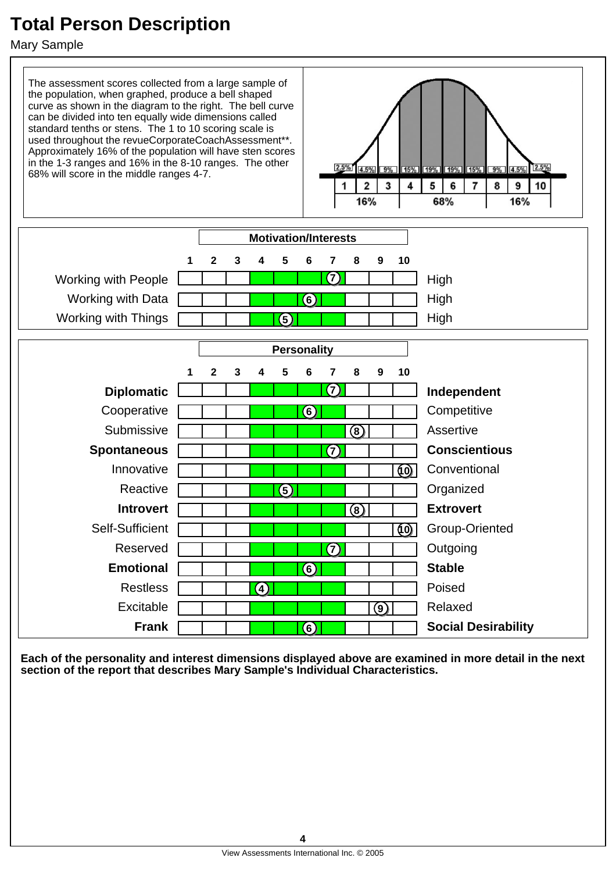# **Total Person Description**

Mary Sample



**Each of the personality and interest dimensions displayed above are examined in more detail in the next section of the report that describes Mary Sample's Individual Characteristics.**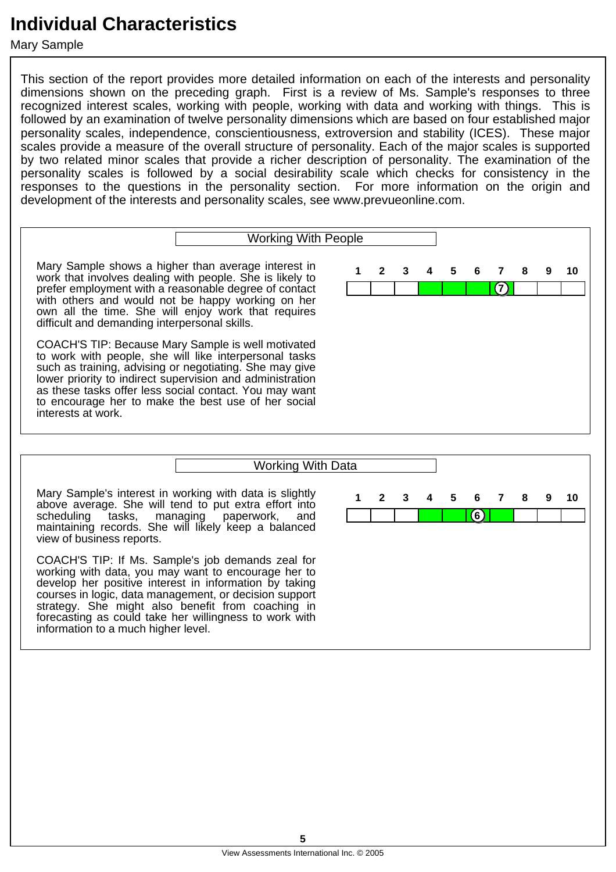Mary Sample

This section of the report provides more detailed information on each of the interests and personality dimensions shown on the preceding graph. First is a review of Ms. Sample's responses to three recognized interest scales, working with people, working with data and working with things. This is followed by an examination of twelve personality dimensions which are based on four established major personality scales, independence, conscientiousness, extroversion and stability (ICES). These major scales provide a measure of the overall structure of personality. Each of the major scales is supported by two related minor scales that provide a richer description of personality. The examination of the personality scales is followed by a social desirability scale which checks for consistency in the responses to the questions in the personality section. For more information on the origin and development of the interests and personality scales, see www.prevueonline.com.

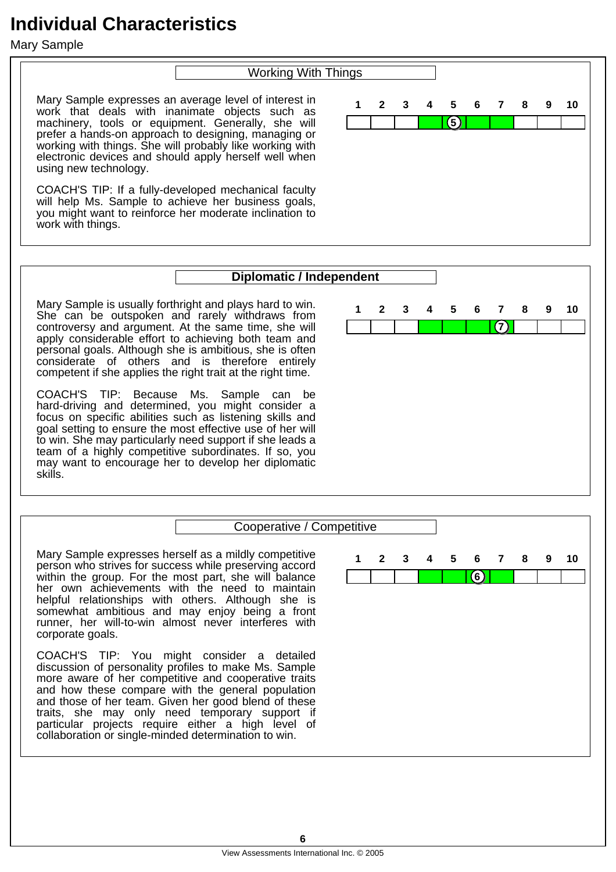Mary Sample

#### Working With Things

Mary Sample expresses an average level of interest in work that deals with inanimate objects such as machinery, tools or equipment. Generally, she will prefer a hands-on approach to designing, managing or working with things. She will probably like working with electronic devices and should apply herself well when using new technology.

COACH'S TIP: If a fully-developed mechanical faculty will help Ms. Sample to achieve her business goals, you might want to reinforce her moderate inclination to work with things.



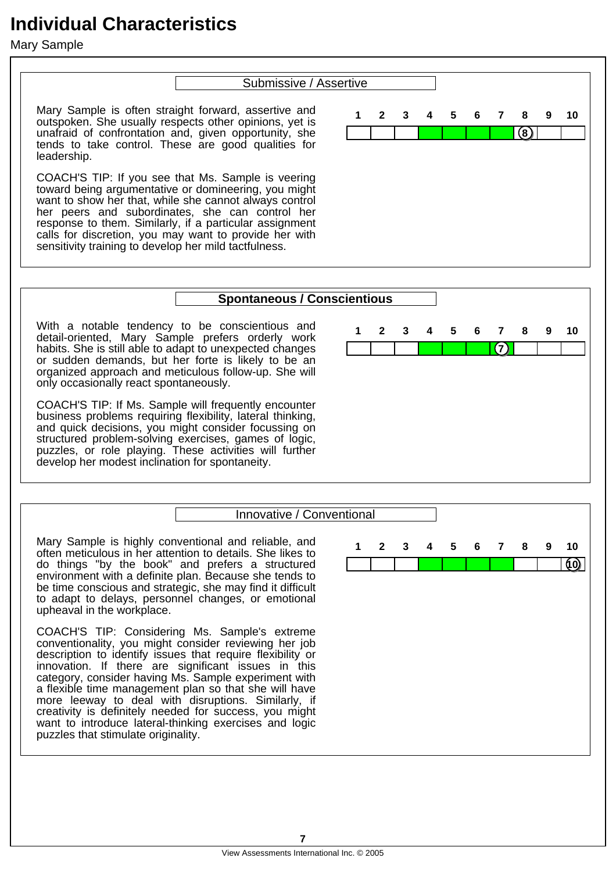Mary Sample

#### Submissive / Assertive

Mary Sample is often straight forward, assertive and outspoken. She usually respects other opinions, yet is unafraid of confrontation and, given opportunity, she tends to take control. These are good qualities for leadership.

COACH'S TIP: If you see that Ms. Sample is veering toward being argumentative or domineering, you might want to show her that, while she cannot always control her peers and subordinates, she can control her response to them. Similarly, if a particular assignment calls for discretion, you may want to provide her with sensitivity training to develop her mild tactfulness.



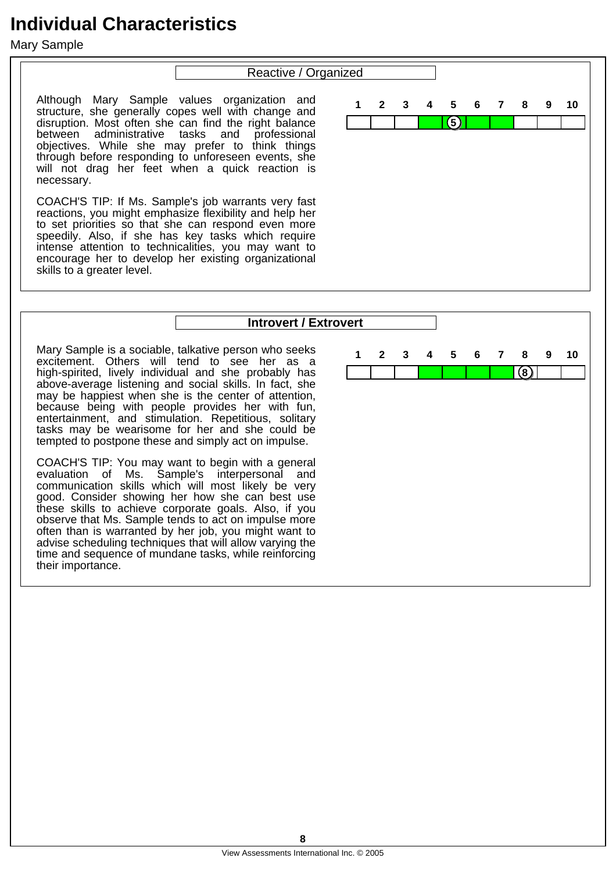Mary Sample

#### Reactive / Organized

Although Mary Sample values organization and structure, she generally copes well with change and disruption. Most often she can find the right balance between administrative tasks and professional objectives. While she may prefer to think things through before responding to unforeseen events, she will not drag her feet when a quick reaction is necessary.

COACH'S TIP: If Ms. Sample's job warrants very fast reactions, you might emphasize flexibility and help her to set priorities so that she can respond even more speedily. Also, if she has key tasks which require intense attention to technicalities, you may want to encourage her to develop her existing organizational skills to a greater level.

entertainment, and stimulation. Repetitious, solitary tasks may be wearisome for her and she could be tempted to postpone these and simply act on impulse.

COACH'S TIP: You may want to begin with a general evaluation of Ms. Sample's interpersonal and communication skills which will most likely be very good. Consider showing her how she can best use these skills to achieve corporate goals. Also, if you observe that Ms. Sample tends to act on impulse more often than is warranted by her job, you might want to advise scheduling techniques that will allow varying the time and sequence of mundane tasks, while reinforcing

their importance.



#### **Introvert / Extrovert** Mary Sample is a sociable, talkative person who seeks excitement. Others will tend to see her as a high-spirited, lively individual and she probably has above-average listening and social skills. In fact, she may be happiest when she is the center of attention, because being with people provides her with fun, **8 1 2 3 4 5 6 7 8 9 10**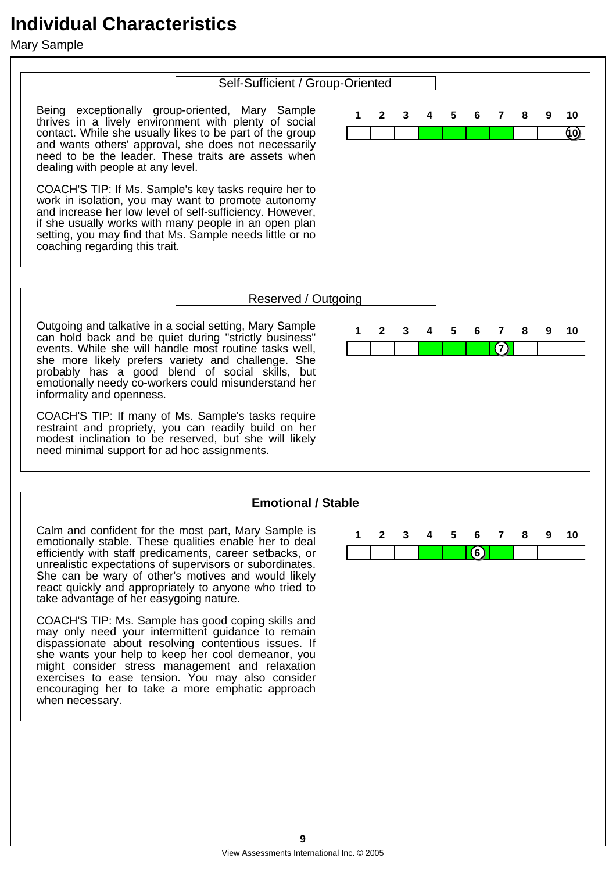Mary Sample

#### Self-Sufficient / Group-Oriented

**10**

**1 2 3 4 5 6 7 8 9 10**

Being exceptionally group-oriented, Mary Sample thrives in a lively environment with plenty of social contact. While she usually likes to be part of the group and wants others' approval, she does not necessarily need to be the leader. These traits are assets when dealing with people at any level.

COACH'S TIP: If Ms. Sample's key tasks require her to work in isolation, you may want to promote autonomy and increase her low level of self-sufficiency. However, if she usually works with many people in an open plan setting, you may find that Ms. Sample needs little or no coaching regarding this trait.

COACH'S TIP: Ms. Sample has good coping skills and may only need your intermittent guidance to remain dispassionate about resolving contentious issues. If she wants your help to keep her cool demeanor, you might consider stress management and relaxation exercises to ease tension. You may also consider encouraging her to take a more emphatic approach

when necessary.

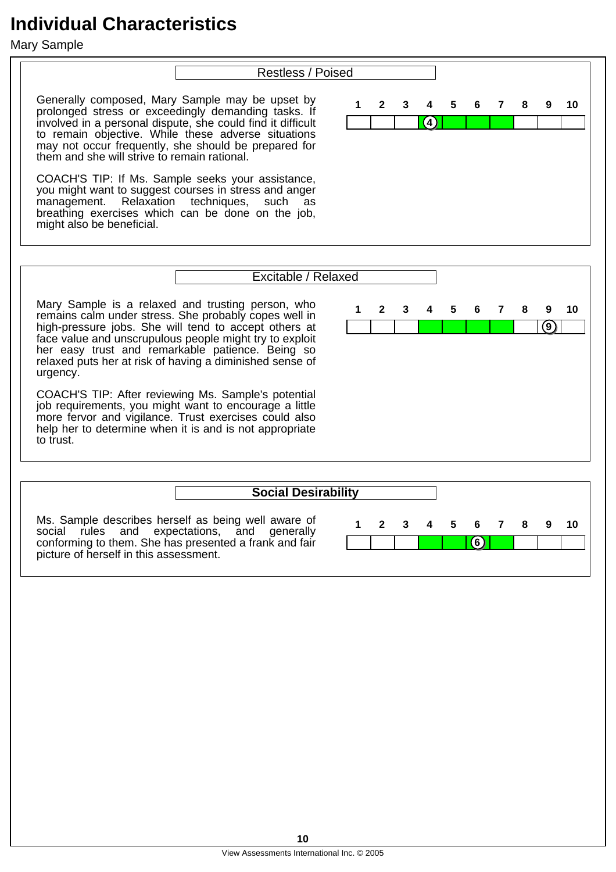Mary Sample

#### Restless / Poised

Generally composed, Mary Sample may be upset by prolonged stress or exceedingly demanding tasks. If involved in a personal dispute, she could find it difficult to remain objective. While these adverse situations may not occur frequently, she should be prepared for them and she will strive to remain rational.

COACH'S TIP: If Ms. Sample seeks your assistance, you might want to suggest courses in stress and anger management. Relaxation techniques, such as breathing exercises which can be done on the job, might also be beneficial.



Ms. Sample describes herself as being well aware of social rules and expectations, and generally conforming to them. She has presented a frank and fair picture of herself in this assessment.

| pility |             |                         |                |       |   |   |    |
|--------|-------------|-------------------------|----------------|-------|---|---|----|
| 1      | $2^{\circ}$ | $\overline{\mathbf{3}}$ | $\overline{4}$ | 5 6 7 | 8 | 9 | 10 |
|        |             |                         |                | c.    |   |   |    |

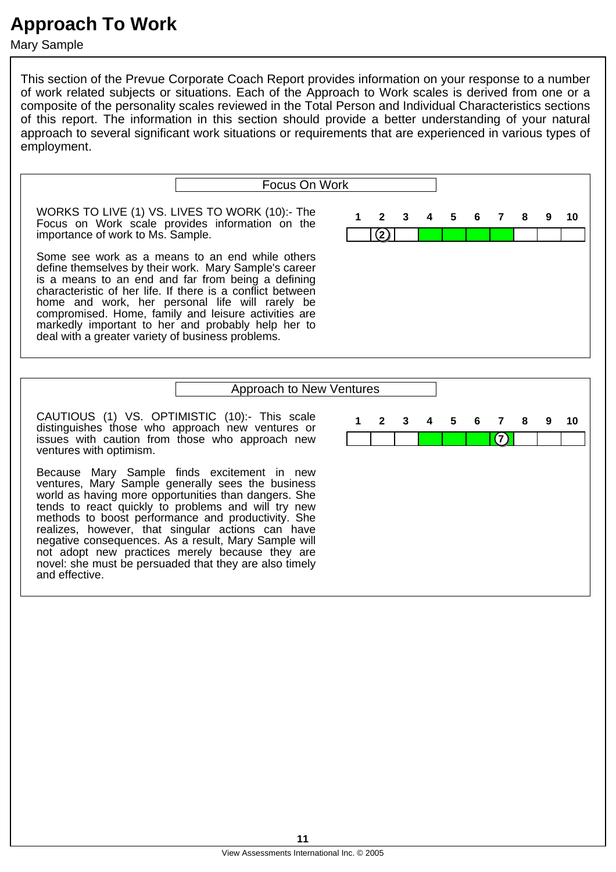Mary Sample

This section of the Prevue Corporate Coach Report provides information on your response to a number of work related subjects or situations. Each of the Approach to Work scales is derived from one or a composite of the personality scales reviewed in the Total Person and Individual Characteristics sections of this report. The information in this section should provide a better understanding of your natural approach to several significant work situations or requirements that are experienced in various types of employment.

|                                                                                                                                                                                                                                                                                                                                                                                                                                                    | Focus On Work |                   |  |  |  |  |  |  |  |
|----------------------------------------------------------------------------------------------------------------------------------------------------------------------------------------------------------------------------------------------------------------------------------------------------------------------------------------------------------------------------------------------------------------------------------------------------|---------------|-------------------|--|--|--|--|--|--|--|
| WORKS TO LIVE (1) VS. LIVES TO WORK (10):- The<br>Focus on Work scale provides information on the<br>importance of work to Ms. Sample.                                                                                                                                                                                                                                                                                                             |               | 1 2 3 4 5 6 7 8 9 |  |  |  |  |  |  |  |
| Some see work as a means to an end while others<br>define themselves by their work. Mary Sample's career<br>is a means to an end and far from being a defining<br>characteristic of her life. If there is a conflict between<br>home and work, her personal life will rarely be<br>compromised. Home, family and leisure activities are<br>markedly important to her and probably help her to<br>deal with a greater variety of business problems. |               |                   |  |  |  |  |  |  |  |
| Approach to New Ventures                                                                                                                                                                                                                                                                                                                                                                                                                           |               |                   |  |  |  |  |  |  |  |

#### Approach to New Ventures

 $(7)$ 

**1 2 3 4 5 6 7 8 9 10**

CAUTIOUS (1) VS. OPTIMISTIC (10):- This scale distinguishes those who approach new ventures or issues with caution from those who approach new ventures with optimism.

Because Mary Sample finds excitement in new ventures, Mary Sample generally sees the business world as having more opportunities than dangers. She tends to react quickly to problems and will try new methods to boost performance and productivity. She realizes, however, that singular actions can have negative consequences. As a result, Mary Sample will not adopt new practices merely because they are novel: she must be persuaded that they are also timely and effective.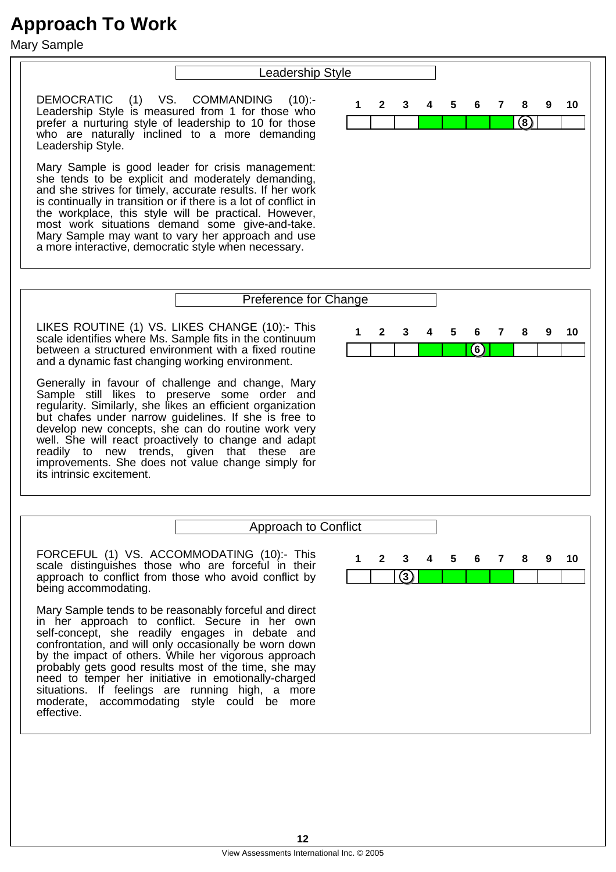Mary Sample

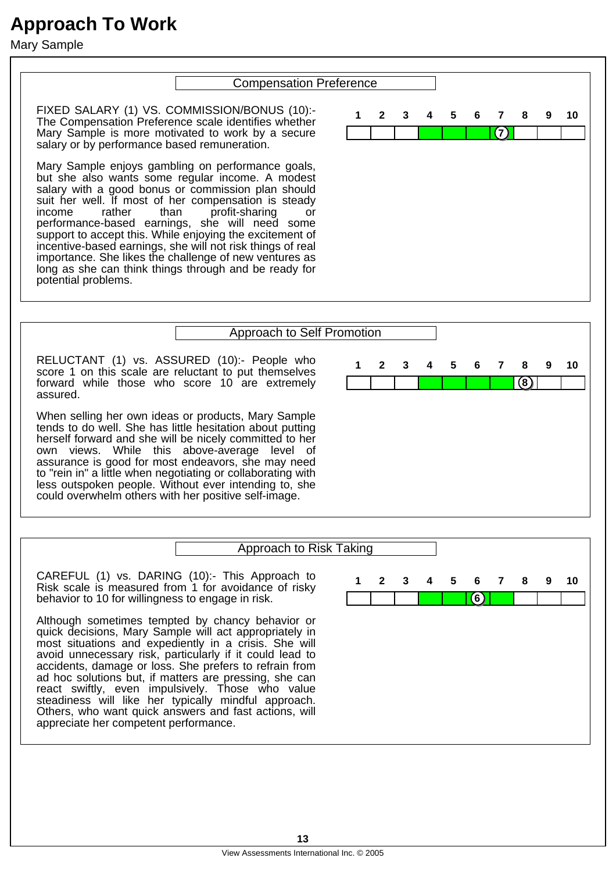Mary Sample

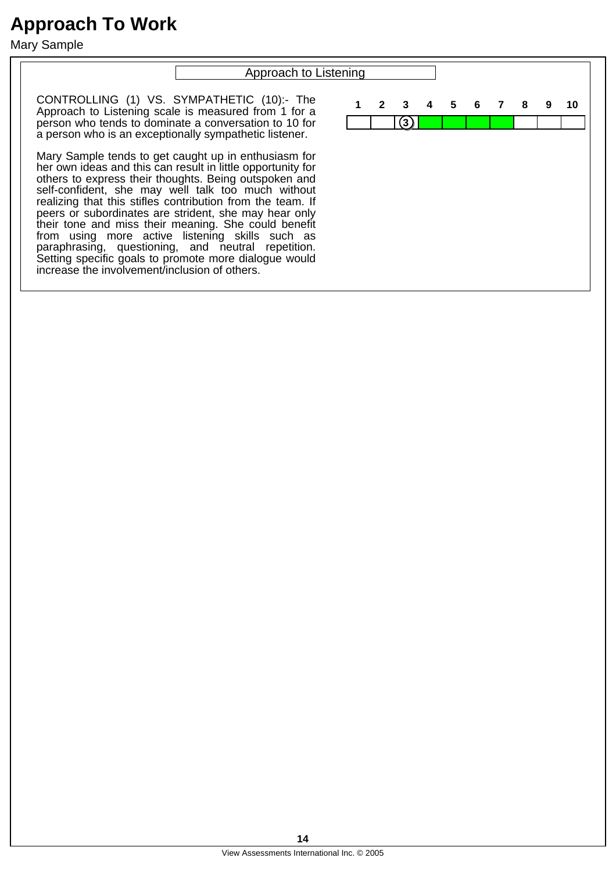Mary Sample

# Approach to Listening CONTROLLING (1) VS. SYMPATHETIC (10):- The Approach to Listening scale is measured from 1 for a person who tends to dominate a conversation to 10 for a person who is an exceptionally sympathetic listener. Mary Sample tends to get caught up in enthusiasm for her own ideas and this can result in little opportunity for others to express their thoughts. Being outspoken and self-confident, she may well talk too much without realizing that this stifles contribution from the team. If peers or subordinates are strident, she may hear only their tone and miss their meaning. She could benefit from using more active listening skills such as paraphrasing, questioning, and neutral repetition. Setting specific goals to promote more dialogue would increase the involvement/inclusion of others. **3 1 2 3 4 5 6 7 8 9 10**